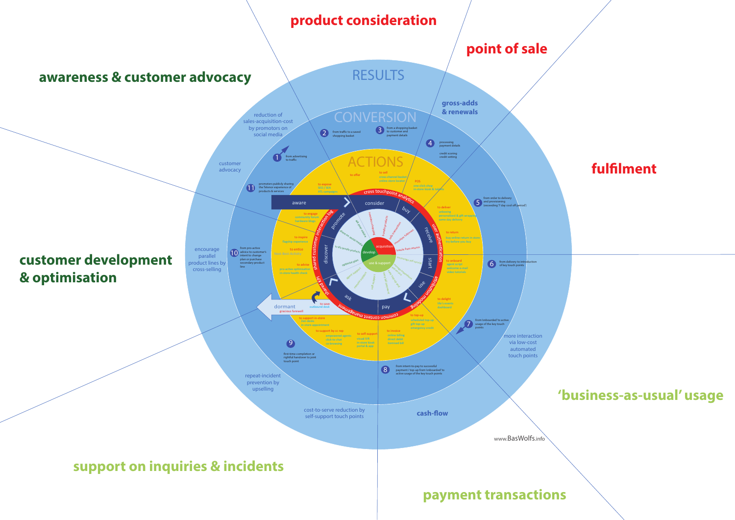

### **'business-as-usual' usage**

#### **fulflment**

# **point of sale**

## **product consideration**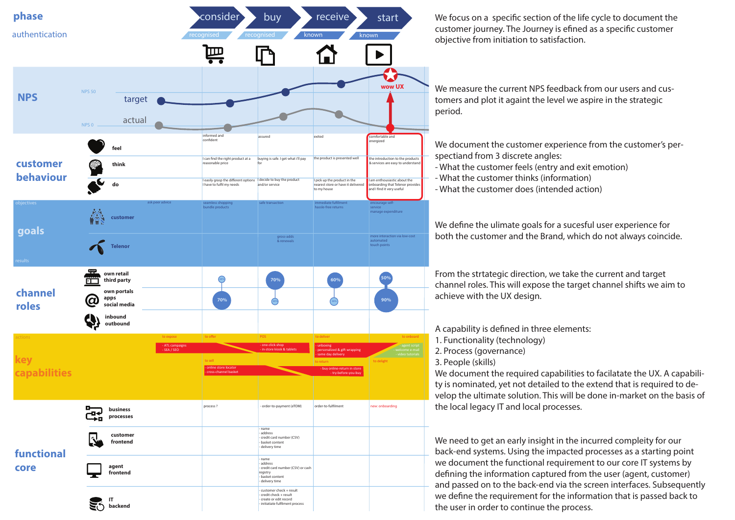We focus on a specific section of the life cycle to document the customer journey. The Journey is efned as a specifc customer objective from initiation to satisfaction.

We measure the current NPS feedback from our users and customers and plot it againt the level we aspire in the strategic period.

We document the required capabilities to facilatate the UX. A capability is nominated, yet not detailed to the extend that is required to develop the ultimate solution. This will be done in-market on the basis of the local legacy IT and local processes.

| phase                          |                                                                                                                                         |                                                                                                                       | consider<br>receive<br>buy<br>start                                                                                                                                               |                                                                                                                                                      |                                                                                                                                               |  |  |  |  |
|--------------------------------|-----------------------------------------------------------------------------------------------------------------------------------------|-----------------------------------------------------------------------------------------------------------------------|-----------------------------------------------------------------------------------------------------------------------------------------------------------------------------------|------------------------------------------------------------------------------------------------------------------------------------------------------|-----------------------------------------------------------------------------------------------------------------------------------------------|--|--|--|--|
| authentication                 |                                                                                                                                         | recognised<br>$\mathbf{\mathbf{\Pi}}$                                                                                 | recognised                                                                                                                                                                        | known                                                                                                                                                | known                                                                                                                                         |  |  |  |  |
| <b>NPS</b>                     | <b>NPS 50</b><br>target<br>actual<br>NPS 0                                                                                              |                                                                                                                       |                                                                                                                                                                                   |                                                                                                                                                      | wow l                                                                                                                                         |  |  |  |  |
| customer<br>behaviour          | $\blacksquare$<br>feel<br><b>REACTION</b><br>think<br>do                                                                                | informed and<br>confident<br>reasonable price<br>I have to fulfil my needs                                            | assured<br>I can find the right product at a<br>buying is safe. I get what i'll pay<br>for<br>decide to buy the product<br>I easily grasp the different options<br>and/or service | exited<br>the product is presented well<br>I pick up the product in the<br>nearest store or have it delivered<br>to my house                         | comfortable and<br>energized<br>the introduction to<br>& services are easy<br>am enthousiastic<br>onboarding that Te<br>and I find it very us |  |  |  |  |
| objectives<br>goals<br>results | ask peer advice<br>customer<br><b>Telenor</b>                                                                                           | seamless shopping<br>bundle products                                                                                  | safe transaction<br>gross-adds<br>& renewals                                                                                                                                      | immediate fufillment<br>hassle-free returns                                                                                                          | encourage self-<br>service<br>manage expendit<br>more interaction \<br>automated<br>touch points                                              |  |  |  |  |
| channel<br>roles               | <u>क्कृ</u><br>own retail<br>third party<br>$\overline{\phantom{a}}$<br>own portals<br>apps<br>0<br>social media<br>inbound<br>outbound | 20%<br>70%                                                                                                            | 70%<br>20%                                                                                                                                                                        | 60%<br>30%                                                                                                                                           | 50%<br>90%                                                                                                                                    |  |  |  |  |
| actions<br>capabilities        |                                                                                                                                         | to offer<br>to expose<br>- ATL campaigns<br>$-SEA/SEO$<br>to sell<br>- online store locator<br>- cross-channel basket | POS<br>- one-click-shop<br>- in-store kiosk & tablets                                                                                                                             | to deliver<br>- unboxing<br>personalized & gift wrapping<br>- same day delivery<br>to return<br>- buy online-return in store<br>- try-before-you-buy | to delight                                                                                                                                    |  |  |  |  |
| functional<br>core             | business<br>processes<br>customer                                                                                                       | process?                                                                                                              | - order-to-payment (eTOM)<br>- name<br>- address<br>- credit card number (CSV)                                                                                                    | order-to-fulfilment                                                                                                                                  | new: onboarding                                                                                                                               |  |  |  |  |
|                                | frontend<br>agent<br>frontend                                                                                                           |                                                                                                                       | - basket content<br>- delivery time<br>- name<br>- address<br>- credit card number (CSV) or cash<br>registry<br>- basket content<br>- delivery time                               |                                                                                                                                                      |                                                                                                                                               |  |  |  |  |
|                                | backend                                                                                                                                 |                                                                                                                       | - customer check + result<br>$-$ credit check + result<br>- create or edit record<br>- initiatiate fulfilment process                                                             |                                                                                                                                                      |                                                                                                                                               |  |  |  |  |



We need to get an early insight in the incurred compleity for our back-end systems. Using the impacted processes as a starting point we document the functional requirement to our core IT systems by defning the information captured from the user (agent, customer) and passed on to the back-end via the screen interfaces. Subsequently we defne the requirement for the information that is passed back to the user in order to continue the process.

From the strtategic direction, we take the current and target channel roles. This will expose the target channel shifts we aim to achieve with the UX design.

We defne the ulimate goals for a sucesful user experience for both the customer and the Brand, which do not always coincide.

We document the customer experience from the customer's perspectiand from 3 discrete angles: - What the customer feels (entry and exit emotion) - What the customer thinks (information) - What the customer does (intended action)

- 
- 
- 

A capability is defned in three elements:

- 1. Functionality (technology)
- 2. Process (governance)

3. People (skills)